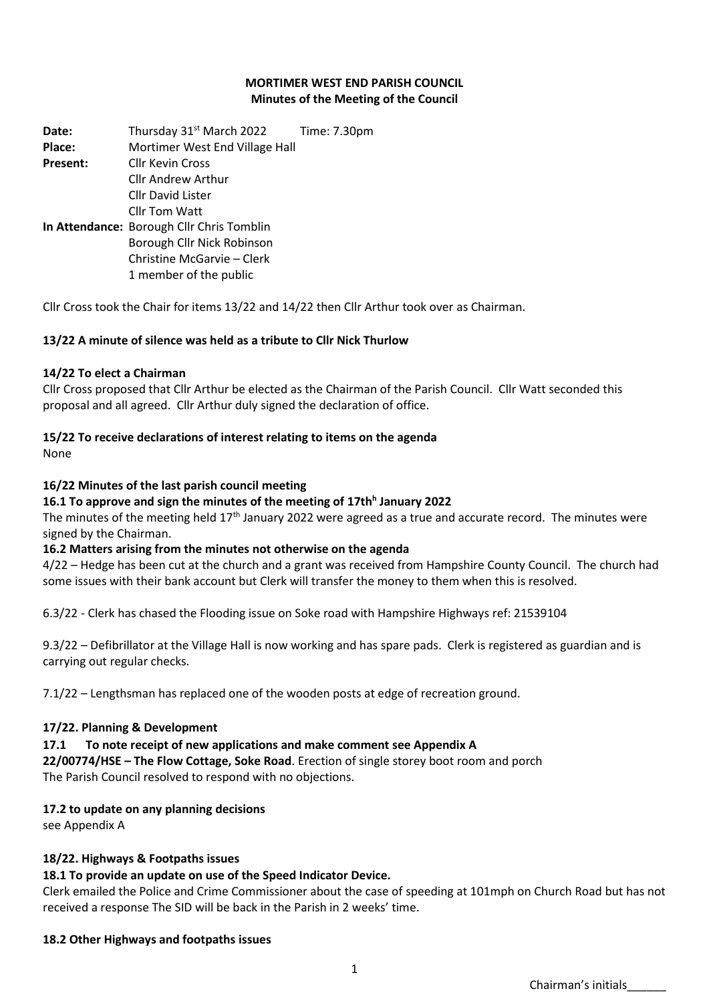#### **MORTIMER WEST END PARISH COUNCIL Minutes of the Meeting of the Council**

**Date:** Thursday 31<sup>st</sup> March 2022 Time: 7.30pm **Place:** Mortimer West End Village Hall **Present:** Cllr Kevin Cross Cllr Andrew Arthur Cllr David Lister Cllr Tom Watt **In Attendance:** Borough Cllr Chris Tomblin Borough Cllr Nick Robinson Christine McGarvie – Clerk 1 member of the public

Cllr Cross took the Chair for items 13/22 and 14/22 then Cllr Arthur took over as Chairman.

### **13/22 A minute of silence was held as a tribute to Cllr Nick Thurlow**

#### **14/22 To elect a Chairman**

Cllr Cross proposed that Cllr Arthur be elected as the Chairman of the Parish Council. Cllr Watt seconded this proposal and all agreed. Cllr Arthur duly signed the declaration of office.

#### **15/22 To receive declarations of interest relating to items on the agenda**

None

#### **16/22 Minutes of the last parish council meeting**

#### **16.1 To approve and sign the minutes of the meeting of 17th<sup>h</sup> January 2022**

The minutes of the meeting held 17<sup>th</sup> January 2022 were agreed as a true and accurate record. The minutes were signed by the Chairman.

#### **16.2 Matters arising from the minutes not otherwise on the agenda**

4/22 – Hedge has been cut at the church and a grant was received from Hampshire County Council. The church had some issues with their bank account but Clerk will transfer the money to them when this is resolved.

6.3/22 - Clerk has chased the Flooding issue on Soke road with Hampshire Highways ref: 21539104

9.3/22 – Defibrillator at the Village Hall is now working and has spare pads. Clerk is registered as guardian and is carrying out regular checks.

7.1/22 – Lengthsman has replaced one of the wooden posts at edge of recreation ground.

#### **17/22. Planning & Development**

#### **17.1 To note receipt of new applications and make comment see Appendix A**

**22/00774/HSE – The Flow Cottage, Soke Road**. Erection of single storey boot room and porch The Parish Council resolved to respond with no objections.

#### **17.2 to update on any planning decisions**

see Appendix A

#### **18/22. Highways & Footpaths issues**

#### **18.1 To provide an update on use of the Speed Indicator Device.**

Clerk emailed the Police and Crime Commissioner about the case of speeding at 101mph on Church Road but has not received a response The SID will be back in the Parish in 2 weeks' time.

#### **18.2 Other Highways and footpaths issues**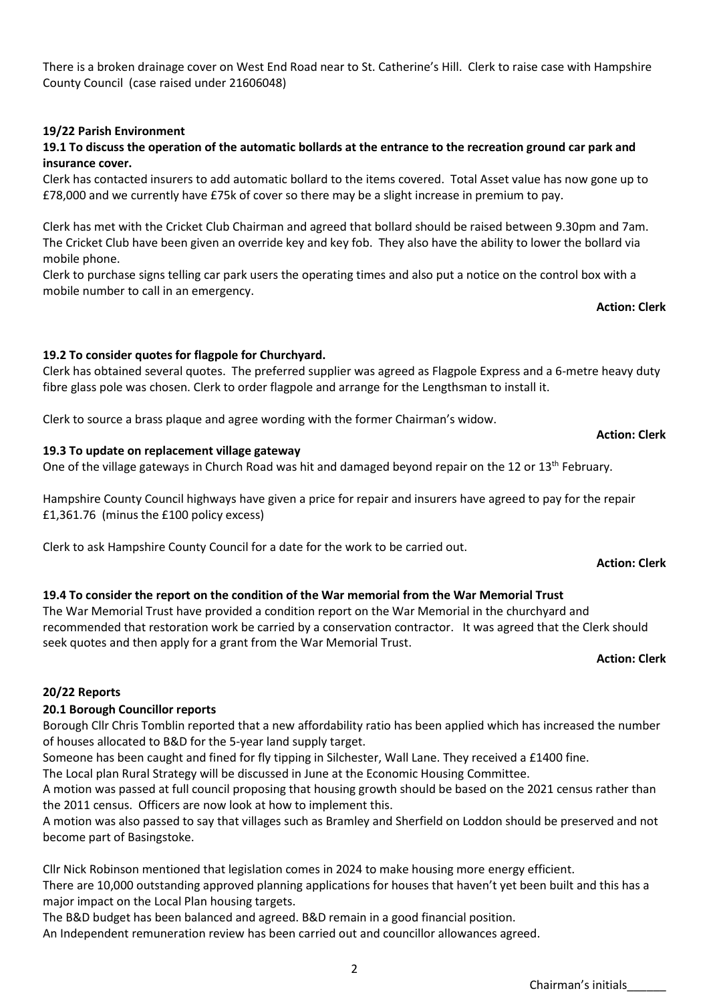There is a broken drainage cover on West End Road near to St. Catherine's Hill. Clerk to raise case with Hampshire County Council (case raised under 21606048)

### **19/22 Parish Environment**

## **19.1 To discuss the operation of the automatic bollards at the entrance to the recreation ground car park and insurance cover.**

Clerk has contacted insurers to add automatic bollard to the items covered. Total Asset value has now gone up to £78,000 and we currently have £75k of cover so there may be a slight increase in premium to pay.

Clerk has met with the Cricket Club Chairman and agreed that bollard should be raised between 9.30pm and 7am. The Cricket Club have been given an override key and key fob. They also have the ability to lower the bollard via mobile phone.

Clerk to purchase signs telling car park users the operating times and also put a notice on the control box with a mobile number to call in an emergency.

**Action: Clerk** 

**Action: Clerk** 

### **19.2 To consider quotes for flagpole for Churchyard.**

Clerk has obtained several quotes. The preferred supplier was agreed as Flagpole Express and a 6-metre heavy duty fibre glass pole was chosen. Clerk to order flagpole and arrange for the Lengthsman to install it.

Clerk to source a brass plaque and agree wording with the former Chairman's widow.

#### **19.3 To update on replacement village gateway**

One of the village gateways in Church Road was hit and damaged beyond repair on the 12 or 13<sup>th</sup> February.

Hampshire County Council highways have given a price for repair and insurers have agreed to pay for the repair £1,361.76 (minus the £100 policy excess)

Clerk to ask Hampshire County Council for a date for the work to be carried out.

## **19.4 To consider the report on the condition of the War memorial from the War Memorial Trust**

The War Memorial Trust have provided a condition report on the War Memorial in the churchyard and recommended that restoration work be carried by a conservation contractor. It was agreed that the Clerk should seek quotes and then apply for a grant from the War Memorial Trust.

**Action: Clerk**

#### **20/22 Reports**

## **20.1 Borough Councillor reports**

Borough Cllr Chris Tomblin reported that a new affordability ratio has been applied which has increased the number of houses allocated to B&D for the 5-year land supply target.

Someone has been caught and fined for fly tipping in Silchester, Wall Lane. They received a £1400 fine.

The Local plan Rural Strategy will be discussed in June at the Economic Housing Committee.

A motion was passed at full council proposing that housing growth should be based on the 2021 census rather than the 2011 census. Officers are now look at how to implement this.

A motion was also passed to say that villages such as Bramley and Sherfield on Loddon should be preserved and not become part of Basingstoke.

Cllr Nick Robinson mentioned that legislation comes in 2024 to make housing more energy efficient. There are 10,000 outstanding approved planning applications for houses that haven't yet been built and this has a major impact on the Local Plan housing targets.

The B&D budget has been balanced and agreed. B&D remain in a good financial position. An Independent remuneration review has been carried out and councillor allowances agreed.

#### 2

## **Action: Clerk**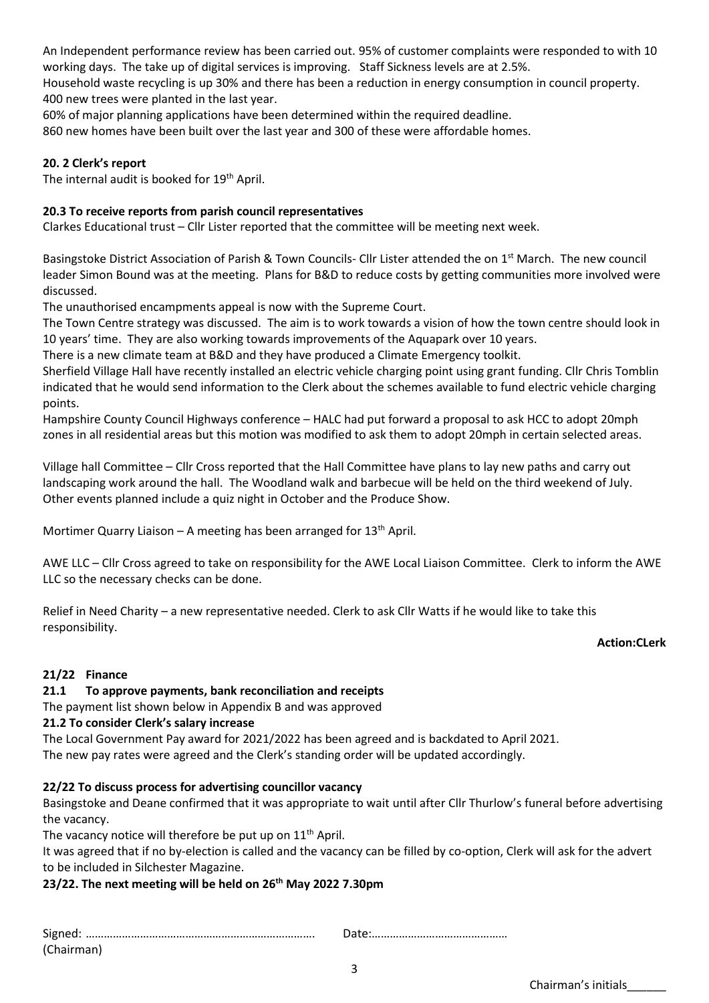An Independent performance review has been carried out. 95% of customer complaints were responded to with 10 working days. The take up of digital services is improving. Staff Sickness levels are at 2.5%.

Household waste recycling is up 30% and there has been a reduction in energy consumption in council property. 400 new trees were planted in the last year.

60% of major planning applications have been determined within the required deadline.

860 new homes have been built over the last year and 300 of these were affordable homes.

## **20. 2 Clerk's report**

The internal audit is booked for 19<sup>th</sup> April.

## **20.3 To receive reports from parish council representatives**

Clarkes Educational trust – Cllr Lister reported that the committee will be meeting next week.

Basingstoke District Association of Parish & Town Councils- Cllr Lister attended the on 1<sup>st</sup> March. The new council leader Simon Bound was at the meeting. Plans for B&D to reduce costs by getting communities more involved were discussed.

The unauthorised encampments appeal is now with the Supreme Court.

The Town Centre strategy was discussed. The aim is to work towards a vision of how the town centre should look in 10 years' time. They are also working towards improvements of the Aquapark over 10 years.

There is a new climate team at B&D and they have produced a Climate Emergency toolkit.

Sherfield Village Hall have recently installed an electric vehicle charging point using grant funding. Cllr Chris Tomblin indicated that he would send information to the Clerk about the schemes available to fund electric vehicle charging points.

Hampshire County Council Highways conference – HALC had put forward a proposal to ask HCC to adopt 20mph zones in all residential areas but this motion was modified to ask them to adopt 20mph in certain selected areas.

Village hall Committee – Cllr Cross reported that the Hall Committee have plans to lay new paths and carry out landscaping work around the hall. The Woodland walk and barbecue will be held on the third weekend of July. Other events planned include a quiz night in October and the Produce Show.

Mortimer Quarry Liaison – A meeting has been arranged for  $13<sup>th</sup>$  April.

AWE LLC – Cllr Cross agreed to take on responsibility for the AWE Local Liaison Committee. Clerk to inform the AWE LLC so the necessary checks can be done.

Relief in Need Charity – a new representative needed. Clerk to ask Cllr Watts if he would like to take this responsibility.

#### **Action:CLerk**

## **21/22 Finance**

## **21.1 To approve payments, bank reconciliation and receipts**

The payment list shown below in Appendix B and was approved

#### **21.2 To consider Clerk's salary increase**

The Local Government Pay award for 2021/2022 has been agreed and is backdated to April 2021. The new pay rates were agreed and the Clerk's standing order will be updated accordingly.

## **22/22 To discuss process for advertising councillor vacancy**

Basingstoke and Deane confirmed that it was appropriate to wait until after Cllr Thurlow's funeral before advertising the vacancy.

The vacancy notice will therefore be put up on 11<sup>th</sup> April.

It was agreed that if no by-election is called and the vacancy can be filled by co-option, Clerk will ask for the advert to be included in Silchester Magazine.

## **23/22. The next meeting will be held on 26th May 2022 7.30pm**

Signed: …………………………………………………………………. Date:………………………………………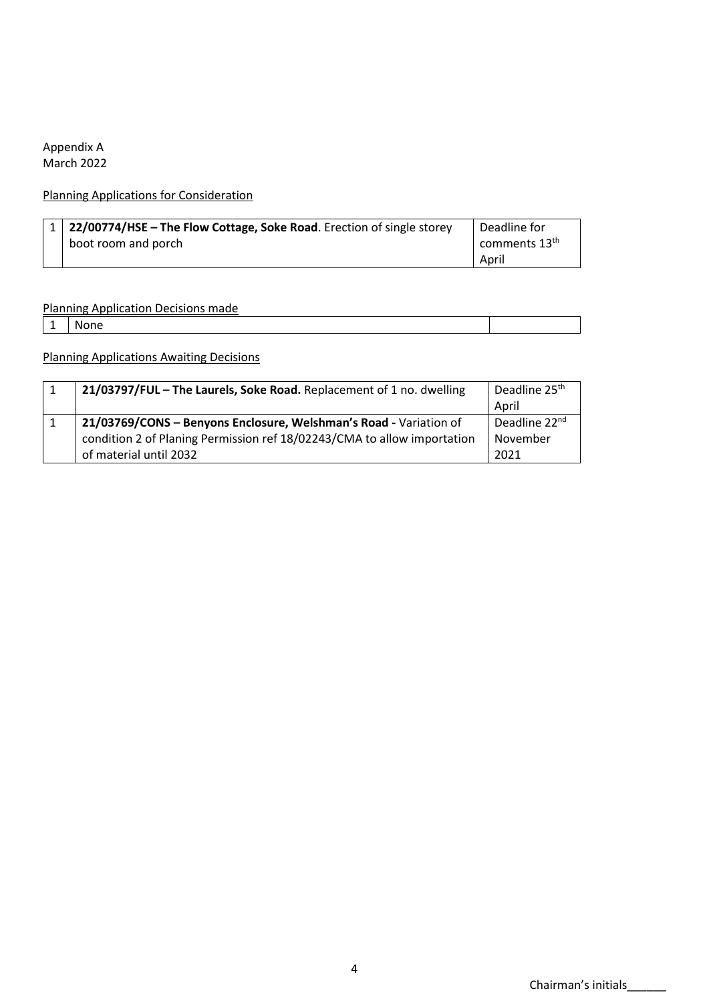## Appendix A March 2022

## Planning Applications for Consideration

| 1   22/00774/HSE – The Flow Cottage, Soke Road. Erection of single storey | Deadline for    |
|---------------------------------------------------------------------------|-----------------|
| boot room and porch                                                       | comments $13th$ |
|                                                                           | April           |

## Planning Application Decisions made

1 None

Planning Applications Awaiting Decisions

| 21/03797/FUL - The Laurels, Soke Road. Replacement of 1 no. dwelling    | Deadline 25 <sup>th</sup> |
|-------------------------------------------------------------------------|---------------------------|
|                                                                         | April                     |
| 21/03769/CONS - Benyons Enclosure, Welshman's Road - Variation of       | Deadline 22 <sup>nd</sup> |
| condition 2 of Planing Permission ref 18/02243/CMA to allow importation | November                  |
| of material until 2032                                                  | 2021                      |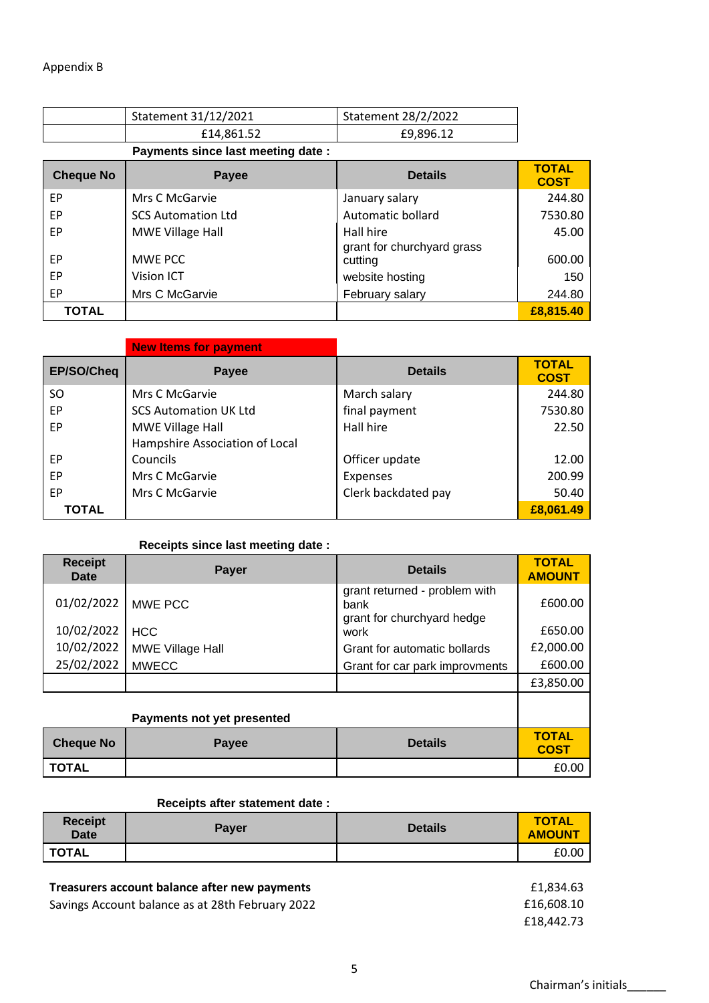|                  | Statement 31/12/2021              | Statement 28/2/2022                   |                             |
|------------------|-----------------------------------|---------------------------------------|-----------------------------|
|                  | £14,861.52                        | £9,896.12                             |                             |
|                  | Payments since last meeting date: |                                       |                             |
| <b>Cheque No</b> | Payee                             | <b>Details</b>                        | <b>TOTAL</b><br><b>COST</b> |
| EP               | Mrs C McGarvie                    | January salary                        | 244.80                      |
| EP               | <b>SCS Automation Ltd</b>         | Automatic bollard                     | 7530.80                     |
| EP               | <b>MWE Village Hall</b>           | Hall hire                             | 45.00                       |
| EP               | MWE PCC                           | grant for churchyard grass<br>cutting | 600.00                      |
| EP               | <b>Vision ICT</b>                 | website hosting                       | 150                         |
| EP               | Mrs C McGarvie                    | February salary                       | 244.80                      |
| <b>TOTAL</b>     |                                   |                                       | £8,815,40                   |

|            | <b>New Items for payment</b>   |                     |                             |
|------------|--------------------------------|---------------------|-----------------------------|
| EP/SO/Cheq | Payee                          | <b>Details</b>      | <b>TOTAL</b><br><b>COST</b> |
| SO.        | Mrs C McGarvie                 | March salary        | 244.80                      |
| EP         | <b>SCS Automation UK Ltd</b>   | final payment       | 7530.80                     |
| EP         | MWE Village Hall               | Hall hire           | 22.50                       |
|            | Hampshire Association of Local |                     |                             |
| EP         | Councils                       | Officer update      | 12.00                       |
| EP         | Mrs C McGarvie                 | <b>Expenses</b>     | 200.99                      |
| EP         | Mrs C McGarvie                 | Clerk backdated pay | 50.40                       |
| TOTAL      |                                |                     | £8,061.49                   |

## **Receipts since last meeting date :**

| <b>Receipt</b><br><b>Date</b> | <b>Payer</b>               | <b>Details</b>                        | <b>TOTAL</b><br><b>AMOUNT</b> |
|-------------------------------|----------------------------|---------------------------------------|-------------------------------|
| 01/02/2022                    | MWE PCC                    | grant returned - problem with<br>bank | £600.00                       |
| 10/02/2022                    | <b>HCC</b>                 | grant for churchyard hedge<br>work    | £650.00                       |
| 10/02/2022                    | <b>MWE Village Hall</b>    | Grant for automatic bollards          | £2,000.00                     |
| 25/02/2022                    | <b>MWECC</b>               | Grant for car park improvments        | £600.00                       |
|                               |                            |                                       | £3,850.00                     |
|                               |                            |                                       |                               |
|                               | Payments not yet presented |                                       |                               |
| <b>Cheque No</b>              | Payee                      | <b>Details</b>                        | <b>TOTAL</b><br><b>COST</b>   |
| <b>TOTAL</b>                  |                            |                                       | £0.00                         |

### **Receipts after statement date :**

| <b>Receipt</b><br><b>Date</b> | Payer | <b>Details</b> | <b>TOTAL</b><br><b>AMOUNT</b> |
|-------------------------------|-------|----------------|-------------------------------|
| <b>TOTAL</b>                  |       |                | £0.00                         |

## Treasurers account balance after new payments

Savings Account balance as at 28th February 2022 **Example 2018** E1

| £1,834.63  |
|------------|
| £16,608.10 |
| £18,442.73 |